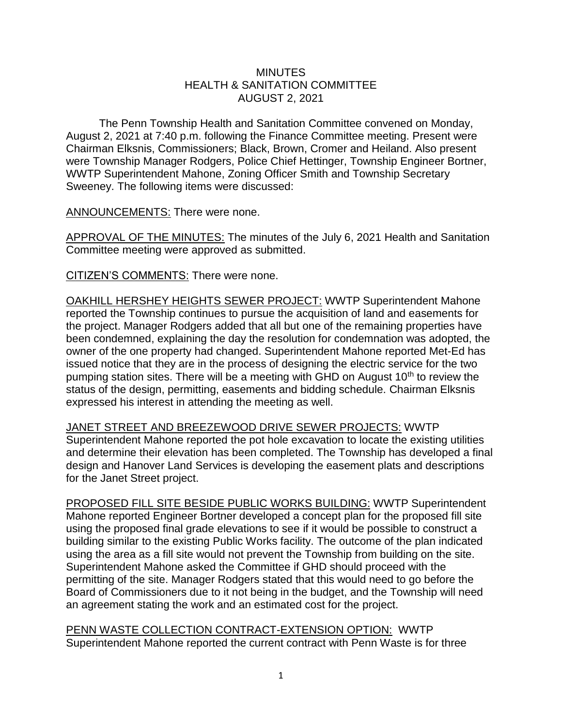## **MINUTES** HEALTH & SANITATION COMMITTEE AUGUST 2, 2021

The Penn Township Health and Sanitation Committee convened on Monday, August 2, 2021 at 7:40 p.m. following the Finance Committee meeting. Present were Chairman Elksnis, Commissioners; Black, Brown, Cromer and Heiland. Also present were Township Manager Rodgers, Police Chief Hettinger, Township Engineer Bortner, WWTP Superintendent Mahone, Zoning Officer Smith and Township Secretary Sweeney. The following items were discussed:

ANNOUNCEMENTS: There were none.

APPROVAL OF THE MINUTES: The minutes of the July 6, 2021 Health and Sanitation Committee meeting were approved as submitted.

CITIZEN'S COMMENTS: There were none.

OAKHILL HERSHEY HEIGHTS SEWER PROJECT: WWTP Superintendent Mahone reported the Township continues to pursue the acquisition of land and easements for the project. Manager Rodgers added that all but one of the remaining properties have been condemned, explaining the day the resolution for condemnation was adopted, the owner of the one property had changed. Superintendent Mahone reported Met-Ed has issued notice that they are in the process of designing the electric service for the two pumping station sites. There will be a meeting with GHD on August  $10<sup>th</sup>$  to review the status of the design, permitting, easements and bidding schedule. Chairman Elksnis expressed his interest in attending the meeting as well.

JANET STREET AND BREEZEWOOD DRIVE SEWER PROJECTS: WWTP Superintendent Mahone reported the pot hole excavation to locate the existing utilities and determine their elevation has been completed. The Township has developed a final design and Hanover Land Services is developing the easement plats and descriptions for the Janet Street project.

PROPOSED FILL SITE BESIDE PUBLIC WORKS BUILDING: WWTP Superintendent Mahone reported Engineer Bortner developed a concept plan for the proposed fill site using the proposed final grade elevations to see if it would be possible to construct a building similar to the existing Public Works facility. The outcome of the plan indicated using the area as a fill site would not prevent the Township from building on the site. Superintendent Mahone asked the Committee if GHD should proceed with the permitting of the site. Manager Rodgers stated that this would need to go before the Board of Commissioners due to it not being in the budget, and the Township will need an agreement stating the work and an estimated cost for the project.

PENN WASTE COLLECTION CONTRACT-EXTENSION OPTION: WWTP Superintendent Mahone reported the current contract with Penn Waste is for three